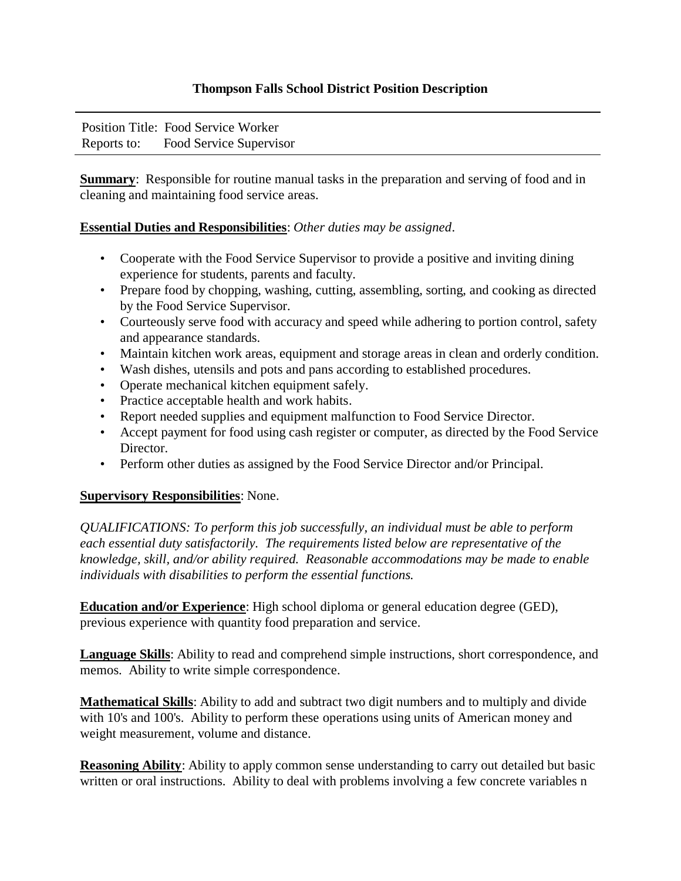## **Thompson Falls School District Position Description**

Position Title: Food Service Worker Reports to: Food Service Supervisor

**Summary**: Responsible for routine manual tasks in the preparation and serving of food and in cleaning and maintaining food service areas.

## **Essential Duties and Responsibilities**: *Other duties may be assigned*.

- Cooperate with the Food Service Supervisor to provide a positive and inviting dining experience for students, parents and faculty.
- Prepare food by chopping, washing, cutting, assembling, sorting, and cooking as directed by the Food Service Supervisor.
- Courteously serve food with accuracy and speed while adhering to portion control, safety and appearance standards.
- Maintain kitchen work areas, equipment and storage areas in clean and orderly condition.
- Wash dishes, utensils and pots and pans according to established procedures.
- Operate mechanical kitchen equipment safely.
- Practice acceptable health and work habits.
- Report needed supplies and equipment malfunction to Food Service Director.
- Accept payment for food using cash register or computer, as directed by the Food Service Director.
- Perform other duties as assigned by the Food Service Director and/or Principal.

## **Supervisory Responsibilities**: None.

*QUALIFICATIONS: To perform this job successfully, an individual must be able to perform each essential duty satisfactorily. The requirements listed below are representative of the knowledge, skill, and/or ability required. Reasonable accommodations may be made to enable individuals with disabilities to perform the essential functions.* 

**Education and/or Experience**: High school diploma or general education degree (GED), previous experience with quantity food preparation and service.

**Language Skills**: Ability to read and comprehend simple instructions, short correspondence, and memos. Ability to write simple correspondence.

**Mathematical Skills**: Ability to add and subtract two digit numbers and to multiply and divide with 10's and 100's. Ability to perform these operations using units of American money and weight measurement, volume and distance.

**Reasoning Ability**: Ability to apply common sense understanding to carry out detailed but basic written or oral instructions. Ability to deal with problems involving a few concrete variables n